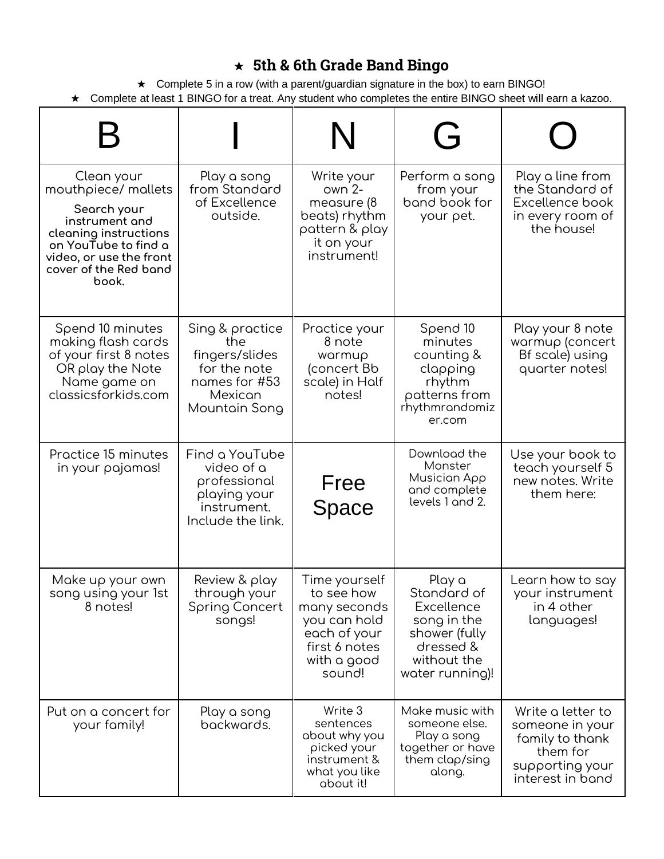## ★ **5th & 6th Grade Band Bingo**

★ Complete 5 in a row (with a parent/guardian signature in the box) to earn BINGO! ★ Complete at least 1 BINGO for a treat. Any student who completes the entire BINGO sheet will earn a kazoo.

|                                                                                                                                                                                  |                                                                                                       | N                                                                                                                     | ( - i                                                                                                                     |                                                                                                            |
|----------------------------------------------------------------------------------------------------------------------------------------------------------------------------------|-------------------------------------------------------------------------------------------------------|-----------------------------------------------------------------------------------------------------------------------|---------------------------------------------------------------------------------------------------------------------------|------------------------------------------------------------------------------------------------------------|
| Clean your<br>mouthpiece/ mallets<br>Search your<br>instrument and<br>cleaning instructions<br>on YouTube to find a<br>video, or use the front<br>cover of the Red band<br>book. | Play a song<br>from Standard<br>of Excellence<br>outside.                                             | Write your<br>$own 2-$<br>measure (8<br>beats) rhythm<br>pattern & play<br>it on your<br>instrument!                  | Perform a song<br>from your<br>band book for<br>your pet.                                                                 | Play a line from<br>the Standard of<br>Excellence book<br>in every room of<br>the house!                   |
| Spend 10 minutes<br>making flash cards<br>of your first 8 notes<br>OR play the Note<br>Name game on<br>classicsforkids.com                                                       | Sing & practice<br>the<br>fingers/slides<br>for the note<br>names for #53<br>Mexican<br>Mountain Song | Practice your<br>8 note<br>warmup<br>(concert Bb<br>scale) in Half<br>notes!                                          | Spend 10<br>minutes<br>counting &<br>clapping<br>rhythm<br>patterns from<br>rhythmrandomiz<br>er.com                      | Play your 8 note<br>warmup (concert<br>Bf scale) using<br>quarter notes!                                   |
| Practice 15 minutes<br>in your pajamas!                                                                                                                                          | Find a YouTube<br>video of a<br>professional<br>playing your<br>instrument.<br>Include the link.      | Free<br>Space                                                                                                         | Download the<br>Monster<br>Musician App<br>and complete<br>levels 1 and 2.                                                | Use your book to<br>teach yourself 5<br>new notes. Write<br>them here:                                     |
| Make up your own<br>song using your 1st<br>8 notes!                                                                                                                              | Review & play<br>through your<br><b>Spring Concert</b><br>songs!                                      | Time yourself<br>to see how<br>many seconds<br>you can hold<br>each of your<br>first 6 notes<br>with a good<br>sound! | Play a<br>Standard of<br><b>Excellence</b><br>song in the<br>shower (fully<br>dressed &<br>without the<br>water running)! | Learn how to say<br>your instrument<br>in 4 other<br>languages!                                            |
| Put on a concert for<br>your family!                                                                                                                                             | Play a song<br>backwards.                                                                             | Write 3<br>sentences<br>about why you<br>picked your<br>instrument &<br>what you like<br>about it!                    | Make music with<br>someone else.<br>Play a song<br>together or have<br>them clap/sing<br>along.                           | Write a letter to<br>someone in your<br>family to thank<br>them for<br>supporting your<br>interest in band |